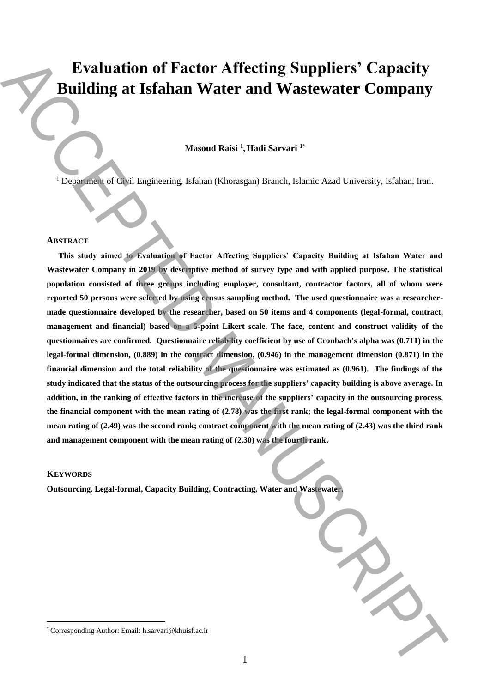# **Evaluation of Factor Affecting Suppliers' Capacity Building at Isfahan Water and Wastewater Company**

## $M$ asoud Raisi <sup>1</sup>, Hadi Sarvari <sup>1\*</sup>

<sup>1</sup> Department of Civil Engineering, Isfahan (Khorasgan) Branch, Islamic Azad University, Isfahan, Iran.

#### **ABSTRACT**

**This study aimed to Evaluation of Factor Affecting Suppliers' Capacity Building at Isfahan Water and Wastewater Company in 2019 by descriptive method of survey type and with applied purpose. The statistical population consisted of three groups including employer, consultant, contractor factors, all of whom were reported 50 persons were selected by using census sampling method. The used questionnaire was a researchermade questionnaire developed by the researcher, based on 50 items and 4 components (legal-formal, contract, management and financial) based on a 5-point Likert scale. The face, content and construct validity of the questionnaires are confirmed. Questionnaire reliability coefficient by use of Cronbach's alpha was (0.711) in the legal-formal dimension, (0.889) in the contract dimension, (0.946) in the management dimension (0.871) in the financial dimension and the total reliability of the questionnaire was estimated as (0.961). The findings of the study indicated that the status of the outsourcing process for the suppliers' capacity building is above average. In addition, in the ranking of effective factors in the increase of the suppliers' capacity in the outsourcing process, the financial component with the mean rating of (2.78) was the first rank; the legal-formal component with the mean rating of (2.49) was the second rank; contract component with the mean rating of (2.43) was the third rank and management component with the mean rating of (2.30) was the fourth rank.** Evaluation of Factor Affecting Suppliers' Capacity<br>
Building at Islahan Water and Wastewater Company<br>
Meson their intelligent and the exact the corresponding the corresponding to the corresponding at the exact the corresp

## **KEYWORDS**

 $\overline{a}$ 

**Outsourcing, Legal-formal, Capacity Building, Contracting, Water and Wastewater.**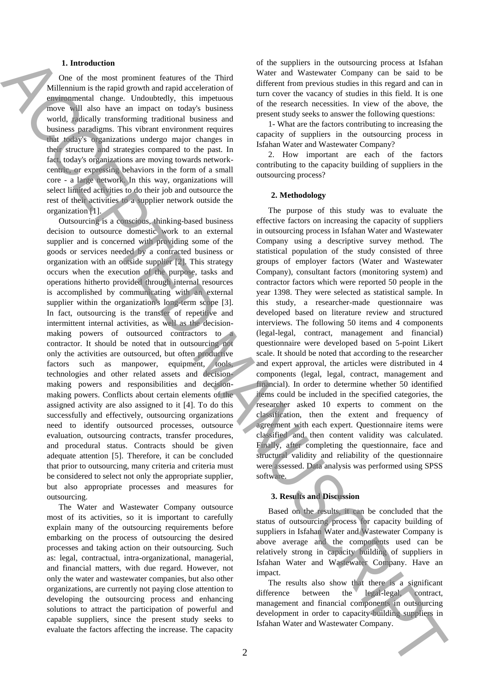## **1. Introduction**

One of the most prominent features of the Third Millennium is the rapid growth and rapid acceleration of environmental change. Undoubtedly, this impetuous move will also have an impact on today's business world, radically transforming traditional business and business paradigms. This vibrant environment requires that today's organizations undergo major changes in their structure and strategies compared to the past. In fact, today's organizations are moving towards networkcentric, or expressing behaviors in the form of a small core - a large network. In this way, organizations will select limited activities to do their job and outsource the rest of their activities to a supplier network outside the organization [1].

Outsourcing is a conscious, thinking-based business decision to outsource domestic work to an external supplier and is concerned with providing some of the goods or services needed by a contracted business or organization with an outside supplier [2]. This strategy occurs when the execution of the purpose, tasks and operations hitherto provided through internal resources is accomplished by communicating with an external supplier within the organization's long-term scope [3]. In fact, outsourcing is the transfer of repetitive and intermittent internal activities, as well as the decisionmaking powers of outsourced contractors to a contractor. It should be noted that in outsourcing not only the activities are outsourced, but often productive factors such as manpower, equipment, tools, technologies and other related assets and decisionmaking powers and responsibilities and decisionmaking powers. Conflicts about certain elements of the assigned activity are also assigned to it [4]. To do this successfully and effectively, outsourcing organizations need to identify outsourced processes, outsource evaluation, outsourcing contracts, transfer procedures, and procedural status. Contracts should be given adequate attention [5]. Therefore, it can be concluded that prior to outsourcing, many criteria and criteria must be considered to select not only the appropriate supplier, but also appropriate processes and measures for outsourcing. **I.** Let the simulation of the inspiration of the instant of the instant of the instant of the instant of the instant of the instant of the instant of the instant of the instant of the instant of the instant of the instan

The Water and Wastewater Company outsource most of its activities, so it is important to carefully explain many of the outsourcing requirements before embarking on the process of outsourcing the desired processes and taking action on their outsourcing. Such as: legal, contractual, intra-organizational, managerial, and financial matters, with due regard. However, not only the water and wastewater companies, but also other organizations, are currently not paying close attention to developing the outsourcing process and enhancing solutions to attract the participation of powerful and capable suppliers, since the present study seeks to evaluate the factors affecting the increase. The capacity

of the suppliers in the outsourcing process at Isfahan Water and Wastewater Company can be said to be different from previous studies in this regard and can in turn cover the vacancy of studies in this field. It is one of the research necessities. In view of the above, the present study seeks to answer the following questions:

1- What are the factors contributing to increasing the capacity of suppliers in the outsourcing process in Isfahan Water and Wastewater Company?

2. How important are each of the factors contributing to the capacity building of suppliers in the outsourcing process?

#### **2. Methodology**

The purpose of this study was to evaluate the effective factors on increasing the capacity of suppliers in outsourcing process in Isfahan Water and Wastewater Company using a descriptive survey method. The statistical population of the study consisted of three groups of employer factors (Water and Wastewater Company), consultant factors (monitoring system) and contractor factors which were reported 50 people in the year 1398. They were selected as statistical sample. In this study, a researcher-made questionnaire was developed based on literature review and structured interviews. The following 50 items and 4 components (legal-legal, contract, management and financial) questionnaire were developed based on 5-point Likert scale. It should be noted that according to the researcher and expert approval, the articles were distributed in 4 components (legal, legal, contract, management and financial). In order to determine whether 50 identified items could be included in the specified categories, the researcher asked 10 experts to comment on the classification, then the extent and frequency of agreement with each expert. Questionnaire items were classified and then content validity was calculated. Finally, after completing the questionnaire, face and structural validity and reliability of the questionnaire were assessed. Data analysis was performed using SPSS software.

#### **3. Results and Discussion**

Based on the results, it can be concluded that the status of outsourcing process for capacity building of suppliers in Isfahan Water and Wastewater Company is above average and the components used can be relatively strong in capacity building of suppliers in Isfahan Water and Wastewater Company. Have an impact.

The results also show that there is a significant difference between the legal-legal, contract, management and financial components in outsourcing development in order to capacity-building suppliers in